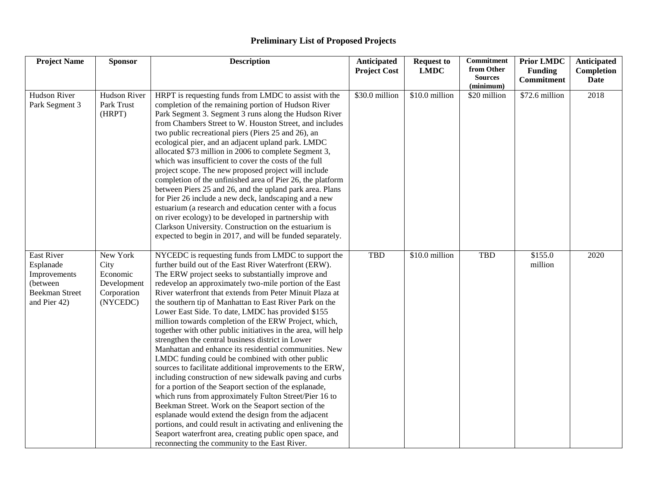## **Preliminary List of Proposed Projects**

| <b>Project Name</b>                                                                           | <b>Sponsor</b>                                                         | <b>Description</b>                                                                                                                                                                                                                                                                                                                                                                                                                                                                                                                                                                                                                                                                                                                                                                                                                                                                                                                                                                                                                                                                                                                                                                                                                          | Anticipated<br><b>Project Cost</b> | <b>Request to</b><br><b>LMDC</b> | <b>Commitment</b><br>from Other | <b>Prior LMDC</b><br><b>Funding</b> | Anticipated<br>Completion |
|-----------------------------------------------------------------------------------------------|------------------------------------------------------------------------|---------------------------------------------------------------------------------------------------------------------------------------------------------------------------------------------------------------------------------------------------------------------------------------------------------------------------------------------------------------------------------------------------------------------------------------------------------------------------------------------------------------------------------------------------------------------------------------------------------------------------------------------------------------------------------------------------------------------------------------------------------------------------------------------------------------------------------------------------------------------------------------------------------------------------------------------------------------------------------------------------------------------------------------------------------------------------------------------------------------------------------------------------------------------------------------------------------------------------------------------|------------------------------------|----------------------------------|---------------------------------|-------------------------------------|---------------------------|
|                                                                                               |                                                                        |                                                                                                                                                                                                                                                                                                                                                                                                                                                                                                                                                                                                                                                                                                                                                                                                                                                                                                                                                                                                                                                                                                                                                                                                                                             |                                    |                                  | <b>Sources</b><br>(minimum)     | <b>Commitment</b>                   | Date                      |
| Hudson River<br>Park Segment 3                                                                | Hudson River<br>Park Trust<br>(HRPT)                                   | HRPT is requesting funds from LMDC to assist with the<br>completion of the remaining portion of Hudson River<br>Park Segment 3. Segment 3 runs along the Hudson River<br>from Chambers Street to W. Houston Street, and includes<br>two public recreational piers (Piers 25 and 26), an<br>ecological pier, and an adjacent upland park. LMDC<br>allocated \$73 million in 2006 to complete Segment 3,<br>which was insufficient to cover the costs of the full<br>project scope. The new proposed project will include<br>completion of the unfinished area of Pier 26, the platform<br>between Piers 25 and 26, and the upland park area. Plans<br>for Pier 26 include a new deck, landscaping and a new<br>estuarium (a research and education center with a focus<br>on river ecology) to be developed in partnership with<br>Clarkson University. Construction on the estuarium is<br>expected to begin in 2017, and will be funded separately.                                                                                                                                                                                                                                                                                        | \$30.0 million                     | \$10.0 million                   | \$20 million                    | \$72.6 million                      | 2018                      |
| East River<br>Esplanade<br>Improvements<br>(between)<br><b>Beekman Street</b><br>and Pier 42) | New York<br>City<br>Economic<br>Development<br>Corporation<br>(NYCEDC) | NYCEDC is requesting funds from LMDC to support the<br>further build out of the East River Waterfront (ERW).<br>The ERW project seeks to substantially improve and<br>redevelop an approximately two-mile portion of the East<br>River waterfront that extends from Peter Minuit Plaza at<br>the southern tip of Manhattan to East River Park on the<br>Lower East Side. To date, LMDC has provided \$155<br>million towards completion of the ERW Project, which,<br>together with other public initiatives in the area, will help<br>strengthen the central business district in Lower<br>Manhattan and enhance its residential communities. New<br>LMDC funding could be combined with other public<br>sources to facilitate additional improvements to the ERW,<br>including construction of new sidewalk paving and curbs<br>for a portion of the Seaport section of the esplanade,<br>which runs from approximately Fulton Street/Pier 16 to<br>Beekman Street. Work on the Seaport section of the<br>esplanade would extend the design from the adjacent<br>portions, and could result in activating and enlivening the<br>Seaport waterfront area, creating public open space, and<br>reconnecting the community to the East River. | <b>TBD</b>                         | \$10.0 million                   | <b>TBD</b>                      | \$155.0<br>million                  | 2020                      |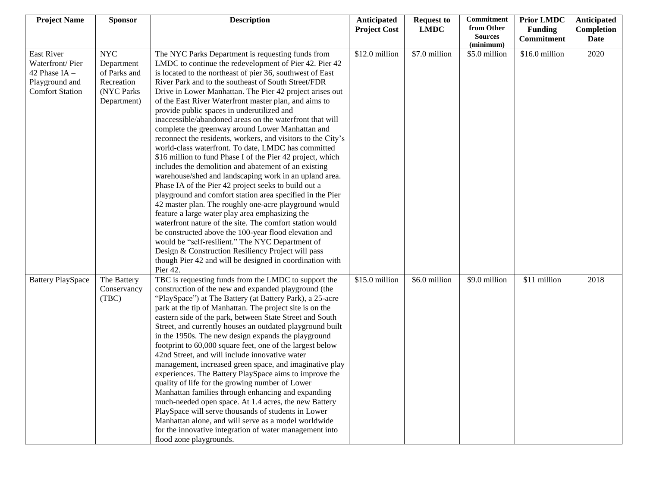| <b>Project Name</b>                                                                          | <b>Sponsor</b>                                                                      | <b>Description</b>                                                                                                                                                                                                                                                                                                                                                                                                                                                                                                                                                                                                                                                                                                                                                                                                                                                                                                                                                                                                                                                                                                                                                                                                                                                                                                                                                | Anticipated         | <b>Request to</b> | Commitment                                | <b>Prior LMDC</b>            | Anticipated        |
|----------------------------------------------------------------------------------------------|-------------------------------------------------------------------------------------|-------------------------------------------------------------------------------------------------------------------------------------------------------------------------------------------------------------------------------------------------------------------------------------------------------------------------------------------------------------------------------------------------------------------------------------------------------------------------------------------------------------------------------------------------------------------------------------------------------------------------------------------------------------------------------------------------------------------------------------------------------------------------------------------------------------------------------------------------------------------------------------------------------------------------------------------------------------------------------------------------------------------------------------------------------------------------------------------------------------------------------------------------------------------------------------------------------------------------------------------------------------------------------------------------------------------------------------------------------------------|---------------------|-------------------|-------------------------------------------|------------------------------|--------------------|
|                                                                                              |                                                                                     |                                                                                                                                                                                                                                                                                                                                                                                                                                                                                                                                                                                                                                                                                                                                                                                                                                                                                                                                                                                                                                                                                                                                                                                                                                                                                                                                                                   | <b>Project Cost</b> | <b>LMDC</b>       | from Other<br><b>Sources</b><br>(minimum) | <b>Funding</b><br>Commitment | Completion<br>Date |
| East River<br>Waterfront/Pier<br>42 Phase $IA -$<br>Playground and<br><b>Comfort Station</b> | <b>NYC</b><br>Department<br>of Parks and<br>Recreation<br>(NYC Parks<br>Department) | The NYC Parks Department is requesting funds from<br>LMDC to continue the redevelopment of Pier 42. Pier 42<br>is located to the northeast of pier 36, southwest of East<br>River Park and to the southeast of South Street/FDR<br>Drive in Lower Manhattan. The Pier 42 project arises out<br>of the East River Waterfront master plan, and aims to<br>provide public spaces in underutilized and<br>inaccessible/abandoned areas on the waterfront that will<br>complete the greenway around Lower Manhattan and<br>reconnect the residents, workers, and visitors to the City's<br>world-class waterfront. To date, LMDC has committed<br>\$16 million to fund Phase I of the Pier 42 project, which<br>includes the demolition and abatement of an existing<br>warehouse/shed and landscaping work in an upland area.<br>Phase IA of the Pier 42 project seeks to build out a<br>playground and comfort station area specified in the Pier<br>42 master plan. The roughly one-acre playground would<br>feature a large water play area emphasizing the<br>waterfront nature of the site. The comfort station would<br>be constructed above the 100-year flood elevation and<br>would be "self-resilient." The NYC Department of<br>Design & Construction Resiliency Project will pass<br>though Pier 42 and will be designed in coordination with<br>Pier 42. | \$12.0 million      | \$7.0 million     | \$5.0 million                             | \$16.0 million               | 2020               |
| <b>Battery PlaySpace</b>                                                                     | The Battery<br>Conservancy<br>(TBC)                                                 | TBC is requesting funds from the LMDC to support the<br>construction of the new and expanded playground (the<br>"PlaySpace") at The Battery (at Battery Park), a 25-acre<br>park at the tip of Manhattan. The project site is on the<br>eastern side of the park, between State Street and South<br>Street, and currently houses an outdated playground built<br>in the 1950s. The new design expands the playground<br>footprint to 60,000 square feet, one of the largest below<br>42nd Street, and will include innovative water<br>management, increased green space, and imaginative play<br>experiences. The Battery PlaySpace aims to improve the<br>quality of life for the growing number of Lower<br>Manhattan families through enhancing and expanding<br>much-needed open space. At 1.4 acres, the new Battery<br>PlaySpace will serve thousands of students in Lower<br>Manhattan alone, and will serve as a model worldwide<br>for the innovative integration of water management into<br>flood zone playgrounds.                                                                                                                                                                                                                                                                                                                                   | \$15.0 million      | \$6.0 million     | \$9.0 million                             | \$11 million                 | 2018               |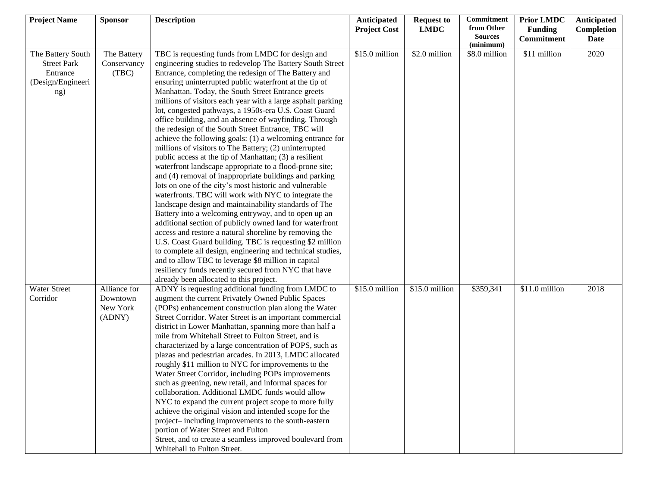| <b>Project Name</b>                                                             | <b>Sponsor</b>                                 | <b>Description</b>                                                                                                                                                                                                                                                                                                                                                                                                                                                                                                                                                                                                                                                                                                                                                                                                                                                                                                                                                                                                                                                                                                                                                                                                                                                                                                                                                                                                                                                                | Anticipated<br><b>Project Cost</b> | <b>Request to</b><br><b>LMDC</b> | Commitment<br>from Other    | <b>Prior LMDC</b><br><b>Funding</b> | Anticipated<br>Completion |
|---------------------------------------------------------------------------------|------------------------------------------------|-----------------------------------------------------------------------------------------------------------------------------------------------------------------------------------------------------------------------------------------------------------------------------------------------------------------------------------------------------------------------------------------------------------------------------------------------------------------------------------------------------------------------------------------------------------------------------------------------------------------------------------------------------------------------------------------------------------------------------------------------------------------------------------------------------------------------------------------------------------------------------------------------------------------------------------------------------------------------------------------------------------------------------------------------------------------------------------------------------------------------------------------------------------------------------------------------------------------------------------------------------------------------------------------------------------------------------------------------------------------------------------------------------------------------------------------------------------------------------------|------------------------------------|----------------------------------|-----------------------------|-------------------------------------|---------------------------|
|                                                                                 |                                                |                                                                                                                                                                                                                                                                                                                                                                                                                                                                                                                                                                                                                                                                                                                                                                                                                                                                                                                                                                                                                                                                                                                                                                                                                                                                                                                                                                                                                                                                                   |                                    |                                  | <b>Sources</b><br>(minimum) | <b>Commitment</b>                   | <b>Date</b>               |
| The Battery South<br><b>Street Park</b><br>Entrance<br>(Design/Engineeri<br>ng) | The Battery<br>Conservancy<br>(TBC)            | TBC is requesting funds from LMDC for design and<br>engineering studies to redevelop The Battery South Street<br>Entrance, completing the redesign of The Battery and<br>ensuring uninterrupted public waterfront at the tip of<br>Manhattan. Today, the South Street Entrance greets<br>millions of visitors each year with a large asphalt parking<br>lot, congested pathways, a 1950s-era U.S. Coast Guard<br>office building, and an absence of wayfinding. Through<br>the redesign of the South Street Entrance, TBC will<br>achieve the following goals: (1) a welcoming entrance for<br>millions of visitors to The Battery; (2) uninterrupted<br>public access at the tip of Manhattan; (3) a resilient<br>waterfront landscape appropriate to a flood-prone site;<br>and (4) removal of inappropriate buildings and parking<br>lots on one of the city's most historic and vulnerable<br>waterfronts. TBC will work with NYC to integrate the<br>landscape design and maintainability standards of The<br>Battery into a welcoming entryway, and to open up an<br>additional section of publicly owned land for waterfront<br>access and restore a natural shoreline by removing the<br>U.S. Coast Guard building. TBC is requesting \$2 million<br>to complete all design, engineering and technical studies,<br>and to allow TBC to leverage \$8 million in capital<br>resiliency funds recently secured from NYC that have<br>already been allocated to this project. | \$15.0 million                     | \$2.0 million                    | \$8.0 million               | \$11 million                        | 2020                      |
| <b>Water Street</b><br>Corridor                                                 | Alliance for<br>Downtown<br>New York<br>(ADNY) | ADNY is requesting additional funding from LMDC to<br>augment the current Privately Owned Public Spaces<br>(POPs) enhancement construction plan along the Water<br>Street Corridor. Water Street is an important commercial<br>district in Lower Manhattan, spanning more than half a<br>mile from Whitehall Street to Fulton Street, and is<br>characterized by a large concentration of POPS, such as<br>plazas and pedestrian arcades. In 2013, LMDC allocated<br>roughly \$11 million to NYC for improvements to the<br>Water Street Corridor, including POPs improvements<br>such as greening, new retail, and informal spaces for<br>collaboration. Additional LMDC funds would allow<br>NYC to expand the current project scope to more fully<br>achieve the original vision and intended scope for the<br>project-including improvements to the south-eastern<br>portion of Water Street and Fulton<br>Street, and to create a seamless improved boulevard from<br>Whitehall to Fulton Street.                                                                                                                                                                                                                                                                                                                                                                                                                                                                            | \$15.0 million                     | \$15.0 million                   | \$359,341                   | \$11.0 million                      | 2018                      |